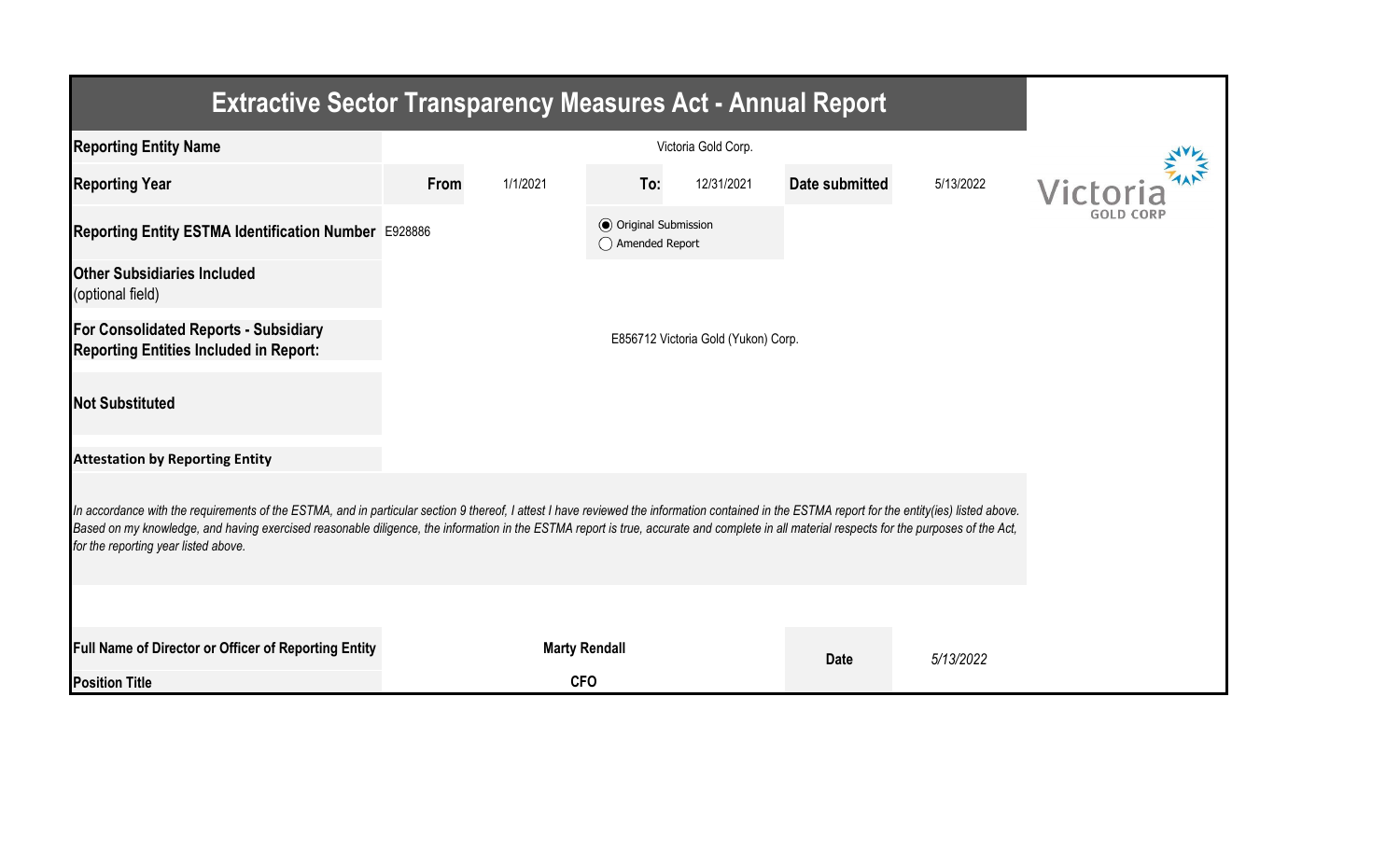| <b>Extractive Sector Transparency Measures Act - Annual Report</b>                                                                                                                                                                                                                                                                                                                                                                    |      |                      |                                                  |            |                |           |          |  |  |  |
|---------------------------------------------------------------------------------------------------------------------------------------------------------------------------------------------------------------------------------------------------------------------------------------------------------------------------------------------------------------------------------------------------------------------------------------|------|----------------------|--------------------------------------------------|------------|----------------|-----------|----------|--|--|--|
| <b>Reporting Entity Name</b>                                                                                                                                                                                                                                                                                                                                                                                                          |      |                      |                                                  |            |                |           |          |  |  |  |
| <b>Reporting Year</b>                                                                                                                                                                                                                                                                                                                                                                                                                 | From | 1/1/2021             | To:                                              | 12/31/2021 | Date submitted | 5/13/2022 | Victoria |  |  |  |
| Reporting Entity ESTMA Identification Number E928886                                                                                                                                                                                                                                                                                                                                                                                  |      |                      | <b>◎</b> Original Submission<br>◯ Amended Report |            |                |           |          |  |  |  |
| <b>Other Subsidiaries Included</b><br>(optional field)                                                                                                                                                                                                                                                                                                                                                                                |      |                      |                                                  |            |                |           |          |  |  |  |
| For Consolidated Reports - Subsidiary<br><b>Reporting Entities Included in Report:</b>                                                                                                                                                                                                                                                                                                                                                |      |                      |                                                  |            |                |           |          |  |  |  |
| <b>Not Substituted</b>                                                                                                                                                                                                                                                                                                                                                                                                                |      |                      |                                                  |            |                |           |          |  |  |  |
| <b>Attestation by Reporting Entity</b>                                                                                                                                                                                                                                                                                                                                                                                                |      |                      |                                                  |            |                |           |          |  |  |  |
| In accordance with the requirements of the ESTMA, and in particular section 9 thereof, I attest I have reviewed the information contained in the ESTMA report for the entity(ies) listed above.<br>Based on my knowledge, and having exercised reasonable diligence, the information in the ESTMA report is true, accurate and complete in all material respects for the purposes of the Act,<br>for the reporting year listed above. |      |                      |                                                  |            |                |           |          |  |  |  |
|                                                                                                                                                                                                                                                                                                                                                                                                                                       |      |                      |                                                  |            |                |           |          |  |  |  |
| Full Name of Director or Officer of Reporting Entity                                                                                                                                                                                                                                                                                                                                                                                  |      | <b>Marty Rendall</b> |                                                  |            | <b>Date</b>    | 5/13/2022 |          |  |  |  |
| <b>Position Title</b>                                                                                                                                                                                                                                                                                                                                                                                                                 |      | <b>CFO</b>           |                                                  |            |                |           |          |  |  |  |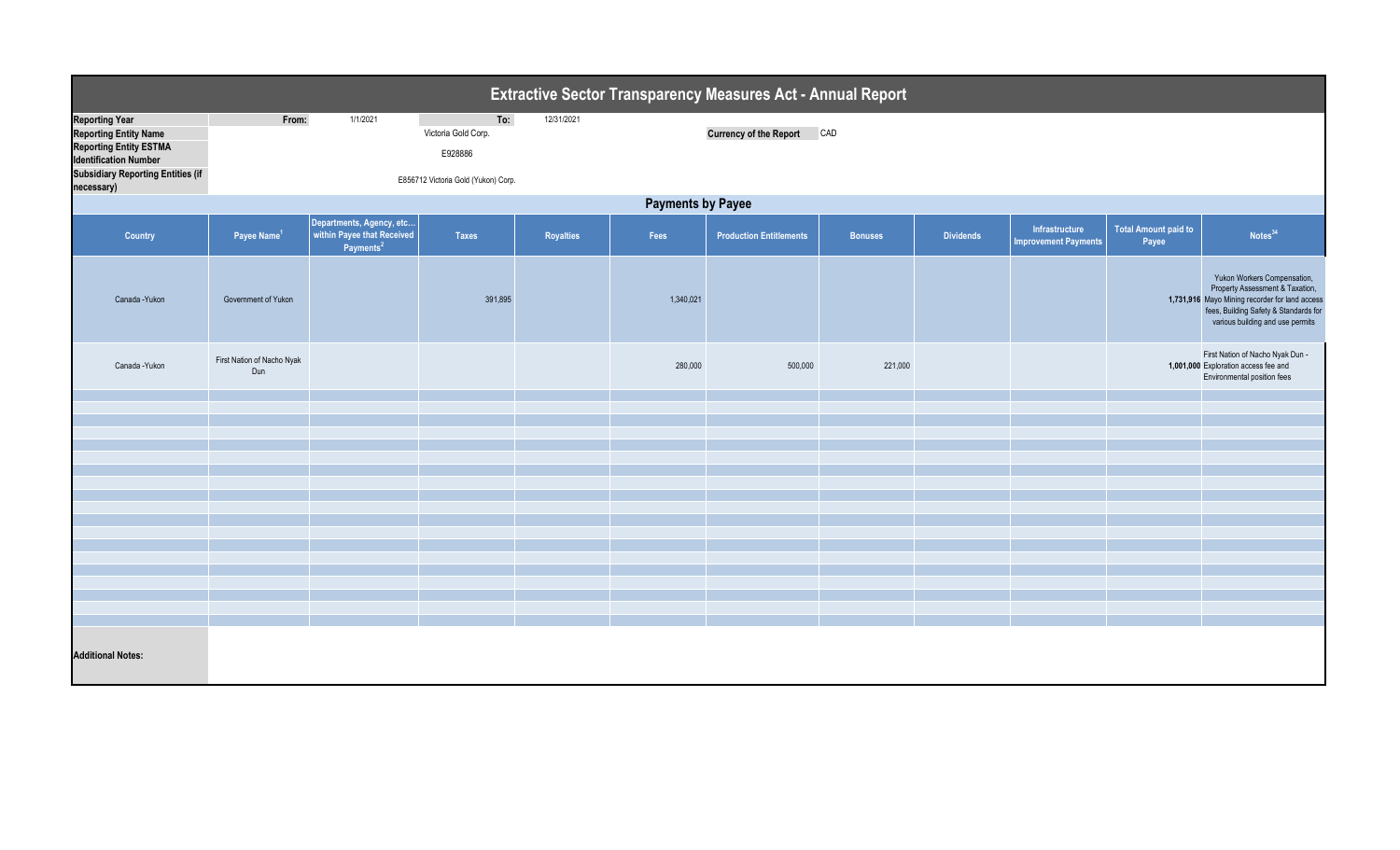| Extractive Sector Transparency Measures Act - Annual Report                                                                                                                      |                                   |                                                                                 |                                                                              |            |           |                                |                |                  |                                               |                                      |                                                                                                                                                                                               |  |  |
|----------------------------------------------------------------------------------------------------------------------------------------------------------------------------------|-----------------------------------|---------------------------------------------------------------------------------|------------------------------------------------------------------------------|------------|-----------|--------------------------------|----------------|------------------|-----------------------------------------------|--------------------------------------|-----------------------------------------------------------------------------------------------------------------------------------------------------------------------------------------------|--|--|
| <b>Reporting Year</b><br><b>Reporting Entity Name</b><br><b>Reporting Entity ESTMA</b><br><b>Identification Number</b><br><b>Subsidiary Reporting Entities (if</b><br>necessary) | From:                             | 1/1/2021                                                                        | To:<br>Victoria Gold Corp.<br>E928886<br>E856712 Victoria Gold (Yukon) Corp. | 12/31/2021 |           | <b>Currency of the Report</b>  | CAD            |                  |                                               |                                      |                                                                                                                                                                                               |  |  |
|                                                                                                                                                                                  | <b>Payments by Payee</b>          |                                                                                 |                                                                              |            |           |                                |                |                  |                                               |                                      |                                                                                                                                                                                               |  |  |
| Country                                                                                                                                                                          | Payee Name <sup>1</sup>           | Departments, Agency, etc<br>within Payee that Received<br>Payments <sup>2</sup> | <b>Taxes</b>                                                                 | Royalties  | Fees      | <b>Production Entitlements</b> | <b>Bonuses</b> | <b>Dividends</b> | Infrastructure<br><b>Improvement Payments</b> | <b>Total Amount paid to</b><br>Payee | Notes <sup>34</sup>                                                                                                                                                                           |  |  |
| Canada - Yukon                                                                                                                                                                   | Government of Yukon               |                                                                                 | 391,895                                                                      |            | 1,340,021 |                                |                |                  |                                               |                                      | Yukon Workers Compensation,<br>Property Assessment & Taxation,<br>1,731,916 Mayo Mining recorder for land access<br>fees, Building Safety & Standards for<br>various building and use permits |  |  |
| Canada - Yukon                                                                                                                                                                   | First Nation of Nacho Nyak<br>Dun |                                                                                 |                                                                              |            | 280,000   | 500,000                        | 221,000        |                  |                                               |                                      | First Nation of Nacho Nyak Dun -<br>1,001,000 Exploration access fee and<br>Environmental position fees                                                                                       |  |  |
|                                                                                                                                                                                  |                                   |                                                                                 |                                                                              |            |           |                                |                |                  |                                               |                                      |                                                                                                                                                                                               |  |  |
|                                                                                                                                                                                  |                                   |                                                                                 |                                                                              |            |           |                                |                |                  |                                               |                                      |                                                                                                                                                                                               |  |  |
|                                                                                                                                                                                  |                                   |                                                                                 |                                                                              |            |           |                                |                |                  |                                               |                                      |                                                                                                                                                                                               |  |  |
|                                                                                                                                                                                  |                                   |                                                                                 |                                                                              |            |           |                                |                |                  |                                               |                                      |                                                                                                                                                                                               |  |  |
|                                                                                                                                                                                  |                                   |                                                                                 |                                                                              |            |           |                                |                |                  |                                               |                                      |                                                                                                                                                                                               |  |  |
|                                                                                                                                                                                  |                                   |                                                                                 |                                                                              |            |           |                                |                |                  |                                               |                                      |                                                                                                                                                                                               |  |  |
|                                                                                                                                                                                  |                                   |                                                                                 |                                                                              |            |           |                                |                |                  |                                               |                                      |                                                                                                                                                                                               |  |  |
|                                                                                                                                                                                  |                                   |                                                                                 |                                                                              |            |           |                                |                |                  |                                               |                                      |                                                                                                                                                                                               |  |  |
|                                                                                                                                                                                  |                                   |                                                                                 |                                                                              |            |           |                                |                |                  |                                               |                                      |                                                                                                                                                                                               |  |  |
|                                                                                                                                                                                  |                                   |                                                                                 |                                                                              |            |           |                                |                |                  |                                               |                                      |                                                                                                                                                                                               |  |  |
|                                                                                                                                                                                  |                                   |                                                                                 |                                                                              |            |           |                                |                |                  |                                               |                                      |                                                                                                                                                                                               |  |  |
|                                                                                                                                                                                  |                                   |                                                                                 |                                                                              |            |           |                                |                |                  |                                               |                                      |                                                                                                                                                                                               |  |  |
|                                                                                                                                                                                  |                                   |                                                                                 |                                                                              |            |           |                                |                |                  |                                               |                                      |                                                                                                                                                                                               |  |  |
| <b>Additional Notes:</b>                                                                                                                                                         |                                   |                                                                                 |                                                                              |            |           |                                |                |                  |                                               |                                      |                                                                                                                                                                                               |  |  |